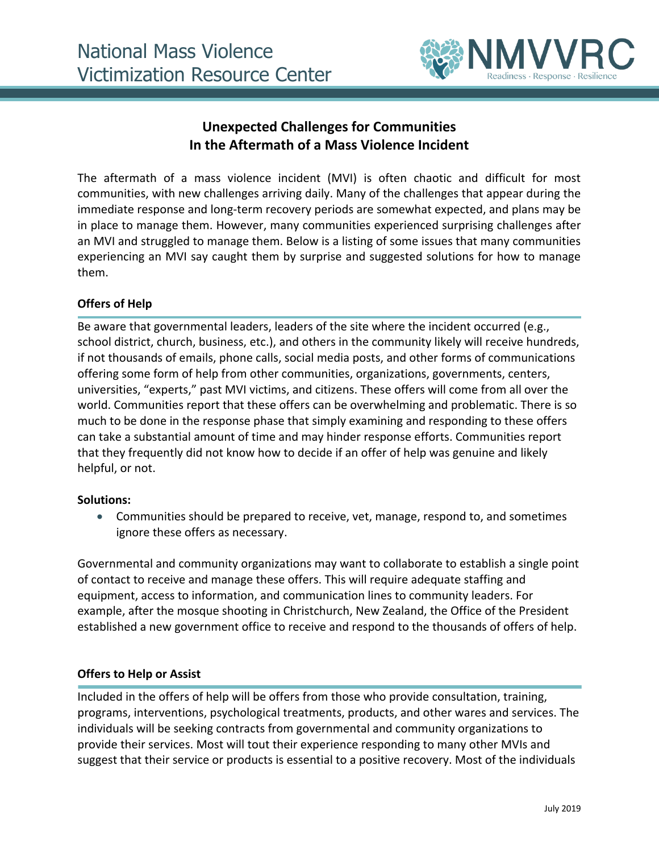

# **Unexpected Challenges for Communities In the Aftermath of a Mass Violence Incident**

The aftermath of a mass violence incident (MVI) is often chaotic and difficult for most communities, with new challenges arriving daily. Many of the challenges that appear during the immediate response and long-term recovery periods are somewhat expected, and plans may be in place to manage them. However, many communities experienced surprising challenges after an MVI and struggled to manage them. Below is a listing of some issues that many communities experiencing an MVI say caught them by surprise and suggested solutions for how to manage them.

# **Offers of Help**

Be aware that governmental leaders, leaders of the site where the incident occurred (e.g., school district, church, business, etc.), and others in the community likely will receive hundreds, if not thousands of emails, phone calls, social media posts, and other forms of communications offering some form of help from other communities, organizations, governments, centers, universities, "experts," past MVI victims, and citizens. These offers will come from all over the world. Communities report that these offers can be overwhelming and problematic. There is so much to be done in the response phase that simply examining and responding to these offers can take a substantial amount of time and may hinder response efforts. Communities report that they frequently did not know how to decide if an offer of help was genuine and likely helpful, or not.

#### **Solutions:**

 Communities should be prepared to receive, vet, manage, respond to, and sometimes ignore these offers as necessary.

Governmental and community organizations may want to collaborate to establish a single point of contact to receive and manage these offers. This will require adequate staffing and equipment, access to information, and communication lines to community leaders. For example, after the mosque shooting in Christchurch, New Zealand, the Office of the President established a new government office to receive and respond to the thousands of offers of help.

#### **Offers to Help or Assist**

Included in the offers of help will be offers from those who provide consultation, training, programs, interventions, psychological treatments, products, and other wares and services. The individuals will be seeking contracts from governmental and community organizations to provide their services. Most will tout their experience responding to many other MVIs and suggest that their service or products is essential to a positive recovery. Most of the individuals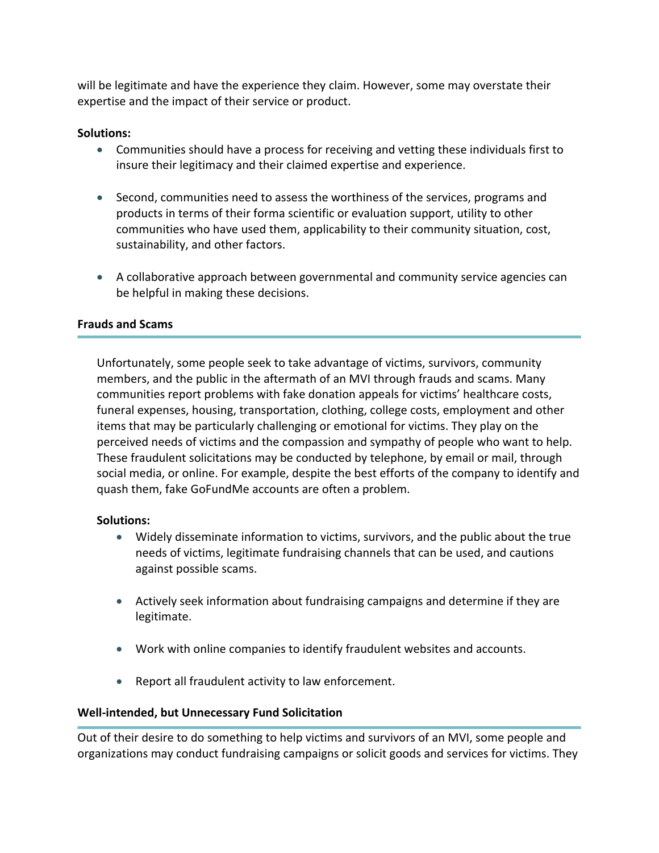will be legitimate and have the experience they claim. However, some may overstate their expertise and the impact of their service or product.

## **Solutions:**

- Communities should have a process for receiving and vetting these individuals first to insure their legitimacy and their claimed expertise and experience.
- Second, communities need to assess the worthiness of the services, programs and products in terms of their forma scientific or evaluation support, utility to other communities who have used them, applicability to their community situation, cost, sustainability, and other factors.
- A collaborative approach between governmental and community service agencies can be helpful in making these decisions.

#### **Frauds and Scams**

Unfortunately, some people seek to take advantage of victims, survivors, community members, and the public in the aftermath of an MVI through frauds and scams. Many communities report problems with fake donation appeals for victims' healthcare costs, funeral expenses, housing, transportation, clothing, college costs, employment and other items that may be particularly challenging or emotional for victims. They play on the perceived needs of victims and the compassion and sympathy of people who want to help. These fraudulent solicitations may be conducted by telephone, by email or mail, through social media, or online. For example, despite the best efforts of the company to identify and quash them, fake GoFundMe accounts are often a problem.

#### **Solutions:**

- Widely disseminate information to victims, survivors, and the public about the true needs of victims, legitimate fundraising channels that can be used, and cautions against possible scams.
- Actively seek information about fundraising campaigns and determine if they are legitimate.
- Work with online companies to identify fraudulent websites and accounts.
- Report all fraudulent activity to law enforcement.

# **Well-intended, but Unnecessary Fund Solicitation**

Out of their desire to do something to help victims and survivors of an MVI, some people and organizations may conduct fundraising campaigns or solicit goods and services for victims. They